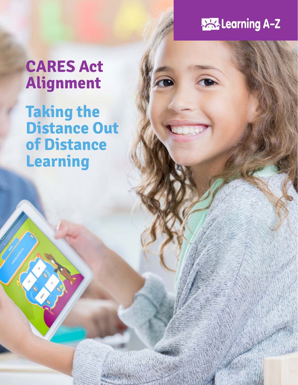## **PAR-Learning A-Z**

# **CARES Act Alignment**

**Taking the Distance Out of Distance Learning**

CARES Act Alignment: Taking the Distance Out of Distance Learning 1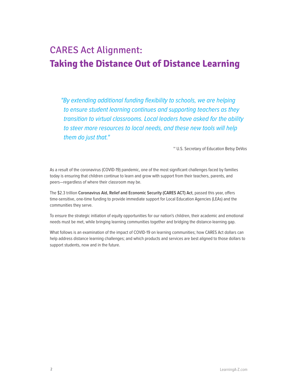### CARES Act Alignment: **Taking the Distance Out of Distance Learning**

"By extending additional funding flexibility to schools, we are helping to ensure student learning continues and supporting teachers as they transition to virtual classrooms. Local leaders have asked for the ability to steer more resources to local needs, and these new tools will help them do just that."

~ U.S. Secretary of Education Betsy DeVos

As a result of the coronavirus (COVID-19) pandemic, one of the most significant challenges faced by families today is ensuring that children continue to learn and grow with support from their teachers, parents, and peers—regardless of where their classroom may be.

The \$2.3 trillion **Coronavirus Aid, Relief and Economic Security (CARES ACT) Act**, passed this year, offers time-sensitive, one-time funding to provide immediate support for Local Education Agencies (LEAs) and the communities they serve.

To ensure the strategic initiation of equity opportunities for our nation's children, their academic and emotional needs must be met, while bringing learning communities together and bridging the distance-learning gap.

What follows is an examination of the impact of COVID-19 on learning communities; how CARES Act dollars can help address distance learning challenges; and which products and services are best aligned to those dollars to support students, now and in the future.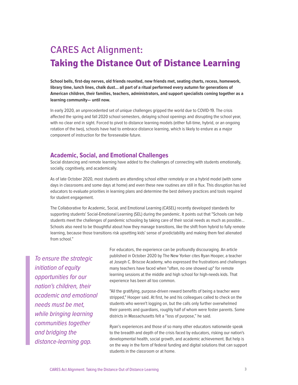## CARES Act Alignment: **Taking the Distance Out of Distance Learning**

**School bells, first-day nerves, old friends reunited, new friends met, seating charts, recess, homework, library time, lunch lines, chalk dust… all part of a ritual performed every autumn for generations of American children, their families, teachers, administrators, and support specialists coming together as a learning community— until now.**

In early 2020, an unprecedented set of unique challenges gripped the world due to COVID-19. The crisis affected the spring and fall 2020 school semesters, delaying school openings and disrupting the school year, with no clear end in sight. Forced to pivot to distance learning models (either full-time, hybrid, or an ongoing rotation of the two), schools have had to embrace distance learning, which is likely to endure as a major component of instruction for the foreseeable future.

#### **Academic, Social, and Emotional Challenges**

Social distancing and remote learning have added to the challenges of connecting with students emotionally, socially, cognitively, and academically.

As of late October 2020, most students are attending school either remotely or on a hybrid model (with some days in classrooms and some days at home) and even these new routines are still in flux. This disruption has led educators to evaluate priorities in learning plans and determine the best delivery practices and tools required for student engagement.

The Collaborative for Academic, Social, and Emotional Learning (CASEL) recently developed standards for supporting students' Social-Emotional Learning (SEL) during the pandemic. It points out that "Schools can help students meet the challenges of pandemic schooling by taking care of their social needs as much as possible... Schools also need to be thoughtful about how they manage transitions, like the shift from hybrid to fully remote learning, because those transitions risk upsetting kids' sense of predictability and making them feel alienated from school."

To ensure the strategic initiation of equity opportunities for our nation's children, their academic and emotional needs must be met, while bringing learning communities together and bridging the distance-learning gap.

For educators, the experience can be profoundly discouraging. An article published in October 2020 by The New Yorker cites Ryan Hooper, a teacher at Joseph C. Briscoe Academy, who expressed the frustrations and challenges many teachers have faced when "often, no one showed up" for remote learning sessions at the middle and high school for high-needs kids. That experience has been all too common.

"All the gratifying, purpose-driven reward benefits of being a teacher were stripped," Hooper said. At first, he and his colleagues called to check on the students who weren't logging on, but the calls only further overwhelmed their parents and guardians, roughly half of whom were foster parents. Some districts in Massachusetts felt a "loss of purpose," he said.

Ryan's experiences and those of so many other educators nationwide speak to the breadth and depth of the crisis faced by educators, risking our nation's developmental health, social growth, and academic achievement. But help is on the way in the form of federal funding and digital solutions that can support students in the classroom or at home.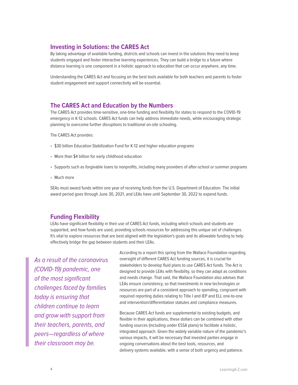#### **Investing in Solutions: the CARES Act**

By taking advantage of available funding, districts and schools can invest in the solutions they need to keep students engaged and foster interactive learning experiences. They can build a bridge to a future where distance learning is one component in a holistic approach to education that can occur anywhere, any time.

Understanding the CARES Act and focusing on the best tools available for both teachers and parents to foster student engagement and support connectivity will be essential.

#### **The CARES Act and Education by the Numbers**

The CARES Act provides time-sensitive, one-time funding and flexibility for states to respond to the COVID-19 emergency in K-12 schools. CARES Act funds can help address immediate needs, while encouraging strategic planning to overcome further disruptions to traditional on-site schooling.

The CARES Act provides:

- \$30 billion Education Stabilization Fund for K-12 and higher education programs
- More than \$4 billion for early childhood education
- Supports such as forgivable loans to nonprofits, including many providers of after-school or summer programs
- Much more

SEAs must award funds within one year of receiving funds from the U.S. Department of Education. The initial award period goes through June 30, 2021, and LEAs have until September 30, 2022 to expend funds.

#### **Funding Flexibility**

LEAs have significant flexibility in their use of CARES Act funds, including which schools and students are supported, and how funds are used, providing schools resources for addressing this unique set of challenges. It's vital to explore resources that are best aligned with the legislation's goals and its allowable funding to help effectively bridge the gap between students and their LEAs.

As a result of the coronavirus (COVID-19) pandemic, one of the most significant challenges faced by families today is ensuring that children continue to learn and grow with support from their teachers, parents, and peers—regardless of where their classroom may be.

According to a report this spring from the Wallace Foundation regarding oversight of different CARES Act funding sources, it is crucial for stakeholders to develop fluid plans to use CARES Act funds. The Act is designed to provide LEAs with flexibility, so they can adapt as conditions and needs change. That said, the Wallace Foundation also advises that LEAs ensure consistency, so that investments in new technologies or resources are part of a consistent approach to spending, congruent with required reporting duties relating to Title I and IEP and ELL one-to-one and intervention/differentiation statutes and compliance measures.

Because CARES Act funds are supplemental to existing budgets, and flexible in their applications, these dollars can be combined with other funding sources (including under ESSA plans) to facilitate a holistic, integrated approach. Given the widely variable nature of the pandemic's various impacts, it will be necessary that invested parties engage in ongoing conversations about the best tools, resources, and delivery systems available, with a sense of both urgency and patience.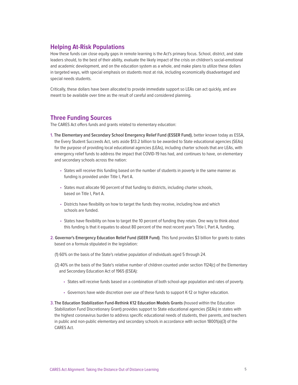#### **Helping At-Risk Populations**

How these funds can close equity gaps in remote learning is the Act's primary focus. School, district, and state leaders should, to the best of their ability, evaluate the likely impact of the crisis on children's social-emotional and academic development, and on the education system as a whole, and make plans to utilize these dollars in targeted ways, with special emphasis on students most at risk, including economically disadvantaged and special needs students.

Critically, these dollars have been allocated to provide immediate support so LEAs can act quickly, and are meant to be available over time as the result of careful and considered planning.

#### **Three Funding Sources**

The CARES Act offers funds and grants related to elementary education:

- **1. The Elementary and Secondary School Emergency Relief Fund (ESSER Fund)**, better known today as ESSA, the Every Student Succeeds Act, sets aside \$13.2 billion to be awarded to State educational agencies (SEAs) for the purpose of providing local educational agencies (LEAs), including charter schools that are LEAs, with emergency relief funds to address the impact that COVID-19 has had, and continues to have, on elementary and secondary schools across the nation:
	- States will receive this funding based on the number of students in poverty in the same manner as funding is provided under Title I, Part A.
	- States must allocate 90 percent of that funding to districts, including charter schools, based on Title I, Part A.
	- Districts have flexibility on how to target the funds they receive, including how and which schools are funded.
	- States have flexibility on how to target the 10 percent of funding they retain. One way to think about this funding is that it equates to about 80 percent of the most recent year's Title I, Part A, funding.
- **2. Governor's Emergency Education Relief Fund (GEER Fund)**. This fund provides \$3 billion for grants to states based on a formula stipulated in the legislation:
	- (1) 60% on the basis of the State's relative population of individuals aged 5 through 24.
	- (2) 40% on the basis of the State's relative number of children counted under section 1124(c) of the Elementary and Secondary Education Act of 1965 (ESEA):
		- States will receive funds based on a combination of both school-age population and rates of poverty.
		- Governors have wide discretion over use of these funds to support K-12 or higher education.
- **3. The Education Stabilization Fund-Rethink K12 Education Models Grants** (housed within the Education Stabilization Fund Discretionary Grant) provides support to State educational agencies (SEAs) in states with the highest coronavirus burden to address specific educational needs of students, their parents, and teachers in public and non-public elementary and secondary schools in accordance with section 18001(a)(3) of the CARES Act.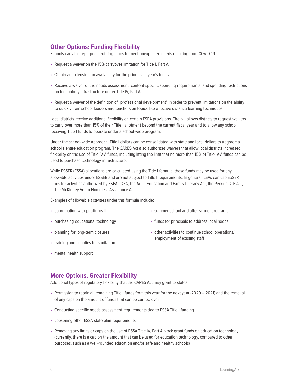#### **Other Options: Funding Flexibility**

Schools can also repurpose existing funds to meet unexpected needs resulting from COVID-19:

- Request a waiver on the 15% carryover limitation for Title I, Part A.
- Obtain an extension on availability for the prior fiscal year's funds.
- Receive a waiver of the needs assessment, content-specific spending requirements, and spending restrictions on technology infrastructure under Title IV, Part A.
- Request a waiver of the definition of "professional development" in order to prevent limitations on the ability to quickly train school leaders and teachers on topics like effective distance learning techniques.

Local districts receive additional flexibility on certain ESEA provisions. The bill allows districts to request waivers to carry over more than 15% of their Title I allotment beyond the current fiscal year and to allow any school receiving Title I funds to operate under a school-wide program.

Under the school-wide approach, Title I dollars can be consolidated with state and local dollars to upgrade a school's entire education program. The CARES Act also authorizes waivers that allow local districts increased flexibility on the use of Title IV-A funds, including lifting the limit that no more than 15% of Title IV-A funds can be used to purchase technology infrastructure.

While ESSER (ESSA) allocations are calculated using the Title I formula, these funds may be used for any allowable activities under ESSER and are not subject to Title I requirements. In general, LEAs can use ESSER funds for activities authorized by ESEA, IDEA, the Adult Education and Family Literacy Act, the Perkins CTE Act, or the McKinney-Vento Homeless Assistance Act.

Examples of allowable activities under this formula include:

- coordination with public health
- purchasing educational technology
- planning for long-term closures
- training and supplies for sanitation
- mental health support
- summer school and after school programs
- funds for principals to address local needs
- other activities to continue school operations/ employment of existing staff

#### **More Options, Greater Flexibility**

Additional types of regulatory flexibility that the CARES Act may grant to states:

- Permission to retain all remaining Title I funds from this year for the next year (2020 2021) and the removal of any caps on the amount of funds that can be carried over
- Conducting specific needs assessment requirements tied to ESSA Title I funding
- Loosening other ESSA state plan requirements
- Removing any limits or caps on the use of ESSA Title IV, Part A block grant funds on education technology (currently, there is a cap on the amount that can be used for education technology, compared to other purposes, such as a well-rounded education and/or safe and healthy schools)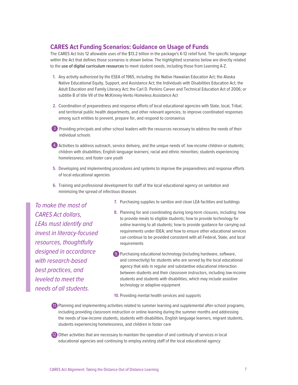#### **CARES Act Funding Scenarios: Guidance on Usage of Funds**

The CARES Act lists 12 allowable uses of the \$13.2 billion in the package's K-12 relief fund. The specific language within the Act that defines those scenarios is shown below. The highlighted scenarios below are directly related to the **use of digital curriculum resources** to meet student needs, including those from Learning A-Z.

- **1.** Any activity authorized by the ESEA of 1965, including: the Native Hawaiian Education Act; the Alaska Native Educational Equity, Support, and Assistance Act; the Individuals with Disabilities Education Act; the Adult Education and Family Literacy Act; the Carl D. Perkins Career and Technical Education Act of 2006; or subtitle B of title VII of the McKinney-Vento Homeless Assistance Act
- **2.** Coordination of preparedness and response efforts of local educational agencies with State, local, Tribal, and territorial public health departments, and other relevant agencies, to improve coordinated responses among such entities to prevent, prepare for, and respond to coronavirus
- 3. Providing principals and other school leaders with the resources necessary to address the needs of their individual schools
- 4. Activities to address outreach, service delivery, and the unique needs of: low-income children or students; 4. children with disabilities; English language learners; racial and ethnic minorities; students experiencing homelessness; and foster care youth
- **5.** Developing and implementing procedures and systems to improve the preparedness and response efforts of local educational agencies
- **6.** Training and professional development for staff of the local educational agency on sanitation and minimizing the spread of infectious diseases

To make the most of CARES Act dollars, LEAs must identify and invest in literacy-focused resources, thoughtfully designed in accordance with research-based best practices, and leveled to meet the needs of all students.

- **7.** Purchasing supplies to sanitize and clean LEA facilities and buildings
- **8.** Planning for and coordinating during long-term closures, including: how to provide meals to eligible students; how to provide technology for online learning to all students; how to provide guidance for carrying out requirements under IDEA; and how to ensure other educational services can continue to be provided consistent with all Federal, State, and local requirements
- 9. Purchasing educational technology (including hardware, software, 9. and connectivity) for students who are served by the local educational agency that aids in regular and substantive educational interaction between students and their classroom instructors, including low-income students and students with disabilities, which may include assistive technology or adaptive equipment

**10.** Providing mental health services and supports

11. Planning and implementing activities related to summer learning and supplemental after-school programs, 11. including providing classroom instruction or online learning during the summer months and addressing the needs of low-income students, students with disabilities, English language learners, migrant students, students experiencing homelessness, and children in foster care

12. Other activities that are necessary to maintain the operation of and continuity of services in local 12. educational agencies and continuing to employ existing staff of the local educational agency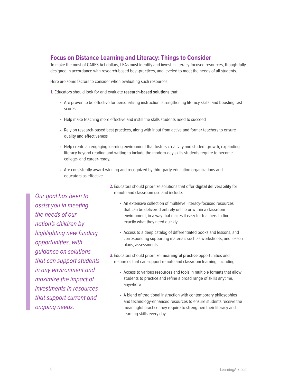#### **Focus on Distance Learning and Literacy: Things to Consider**

To make the most of CARES Act dollars, LEAs must identify and invest in literacy-focused resources, thoughtfully designed in accordance with research-based best-practices, and leveled to meet the needs of all students.

Here are some factors to consider when evaluating such resources:

**1.** Educators should look for and evaluate **research-based solutions** that:

- Are proven to be effective for personalizing instruction, strengthening literacy skills, and boosting test scores,
- Help make teaching more effective and instill the skills students need to succeed
- Rely on research-based best practices, along with input from active and former teachers to ensure quality and effectiveness
- Help create an engaging learning environment that fosters creativity and student growth; expanding literacy beyond reading and writing to include the modern-day skills students require to become college- and career-ready.
- Are consistently award-winning and recognized by third-party education organizations and educators as effective

Our goal has been to assist you in meeting the needs of our nation's children by highlighting new funding opportunities, with guidance on solutions that can support students in any environment and maximize the impact of investments in resources that support current and ongoing needs.

- **2.** Educators should prioritize solutions that offer **digital deliverability** for remote and classroom use and include:
	- An extensive collection of multilevel literacy-focused resources that can be delivered entirely online or within a classroom environment, in a way that makes it easy for teachers to find exactly what they need quickly
	- Access to a deep catalog of differentiated books and lessons, and corresponding supporting materials such as worksheets, and lesson plans, assessments
- **3.**Educators should prioritize **meaningful practice** opportunities and resources that can support remote and classroom learning, including:
	- Access to various resources and tools in multiple formats that allow students to practice and refine a broad range of skills anytime, anywhere
	- A blend of traditional instruction with contemporary philosophies and technology-enhanced resources to ensure students receive the meaningful practice they require to strengthen their literacy and learning skills every day